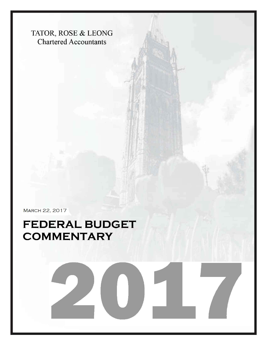TATOR, ROSE & LEONG **Chartered Accountants** 

MARCH 22, 2017

# **FEDERAL BUDGET COMMENTARY**

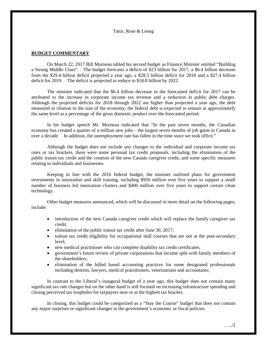#### Tator, Rose & Leong

## **BUDGET COMMENTARY**

On March 22, 2017 Bill Morneau tabled his second budget as Finance Minister entitled "Building a Strong Middle Class". The budget forecasts a deficit of \$23 billion for 2017, a \$6.4 billion decrease from the \$29.4 billion deficit projected a year ago, a \$28.5 billion deficit for 2018 and a \$27.4 billion deficit for 2019. The deficit is projected to reduce to \$18.8 billion by 2022.

The minister indicated that the \$6.4 billion decrease in the forecasted deficit for 2017 can be attributed to the increase in corporate income tax revenue and a reduction in public debt charges. Although the projected deficits for 2018 through 2022 are higher than projected a year ago, the debt measured in relation to the size of the economy, the federal debt is expected to remain at approximately the same level as a percentage of the gross domestic product over the forecasted period.

In his budget speech Mr. Morneau indicated that "In the past seven months, the Canadian economy has created a quarter of a million new jobs – the largest seven months of job gains in Canada in over a decade. In addition, the unemployment rate has fallen in the time since we took office."

Although the budget does not include any changes to the individual and corporate income tax rates or tax brackets, there were some personal tax credit proposals, including the elimination of the public transit tax credit and the creation of the new Canada caregiver credit, and some specific measures relating to individuals and businesses.

Keeping in line with the 2016 federal budget, the minister outlined plans for government investments in innovation and skill training, including \$950 million over five years to support a small number of business led innovation clusters and \$400 million over five years to support certain clean technology.

Other budget measures announced, which will be discussed in more detail on the following pages, include:

- introduction of the new Canada caregiver credit which will replace the family caregiver tax credit;
- elimination of the public transit tax credit after June 30, 2017;
- tuition tax credit eligibility for occupational skill courses that are not at the post-secondary level;
- new medical practitioner who can complete disability tax credit certificates;
- government's future review of private corporations that income split with family members of the shareholders;
- elimination of the billed based accounting practices for some designated professionals including dentists, lawyers, medical practitioners, veterinarians and accountants;

In contrast to the Liberal's inaugural budget of a year ago, this budget does not contain many significant tax rate changes but on the other hand is still focused on increasing infrastructure spending and closing perceived tax loopholes for taxpayers near or at the highest tax bracket.

In closing, this budget could be categorized as a "Stay the Course" budget that does not contain any major surprises or significant changes in the government's economic or fiscal policies.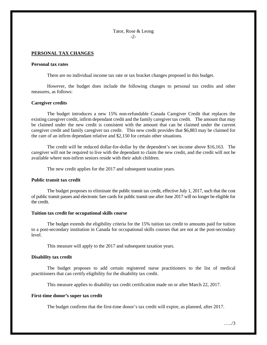Tator, Rose & Leong -2-

## **PERSONAL TAX CHANGES**

#### **Personal tax rates**

There are no individual income tax rate or tax bracket changes proposed in this budget.

However, the budget does include the following changes to personal tax credits and other measures, as follows:

## **Caregiver credits**

The budget introduces a new 15% non-refundable Canada Caregiver Credit that replaces the existing caregiver credit, infirm dependant credit and the family caregiver tax credit. The amount that may be claimed under the new credit is consistent with the amount that can be claimed under the current caregiver credit and family caregiver tax credit. This new credit provides that \$6,883 may be claimed for the care of an infirm dependant relative and \$2,150 for certain other situations.

The credit will be reduced dollar-for-dollar by the dependent's net income above \$16,163. The caregiver will not be required to live with the dependant to claim the new credit, and the credit will not be available where non-infirm seniors reside with their adult children.

The new credit applies for the 2017 and subsequent taxation years.

## **Public transit tax credit**

The budget proposes to eliminate the public transit tax credit, effective July 1, 2017, such that the cost of public transit passes and electronic fare cards for public transit use after June 2017 will no longer be eligible for the credit.

## **Tuition tax credit for occupational skills course**

The budget extends the eligibility criteria for the 15% tuition tax credit to amounts paid for tuition to a post-secondary institution in Canada for occupational skills courses that are not at the post-secondary level.

This measure will apply to the 2017 and subsequent taxation years.

#### **Disability tax credit**

The budget proposes to add certain registered nurse practitioners to the list of medical practitioners that can certify eligibility for the disability tax credit.

This measure applies to disability tax credit certification made on or after March 22, 2017.

#### **First-time donor's super tax credit**

The budget confirms that the first-time donor's tax credit will expire, as planned, after 2017.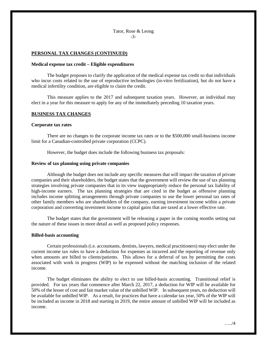## **PERSONAL TAX CHANGES (CONTINUED)**

#### **Medical expense tax credit – Eligible expenditures**

The budget proposes to clarify the application of the medical expense tax credit so that individuals who incur costs related to the use of reproductive technologies (in-vitro fertilization), but do not have a medical infertility condition, are eligible to claim the credit.

This measure applies to the 2017 and subsequent taxation years. However, an individual may elect in a year for this measure to apply for any of the immediately preceding 10 taxation years.

## **BUSINESS TAX CHANGES**

#### **Corporate tax rates**

There are no changes to the corporate income tax rates or to the \$500,000 small-business income limit for a Canadian-controlled private corporation (CCPC).

However, the budget does include the following business tax proposals:

#### **Review of tax planning using private companies**

Although the budget does not include any specific measures that will impact the taxation of private companies and their shareholders, the budget states that the government will review the use of tax planning strategies involving private companies that in its view inappropriately reduce the personal tax liability of high-income earners. The tax planning strategies that are cited in the budget as offensive planning includes income splitting arrangements through private companies to use the lower personal tax rates of other family members who are shareholders of the company, earning investment income within a private corporation and converting investment income to capital gains that are taxed at a lower effective rate.

The budget states that the government will be releasing a paper in the coming months setting out the nature of these issues in more detail as well as proposed policy responses.

## **Billed-basis accounting**

Certain professionals (i.e. accountants, dentists, lawyers, medical practitioners) may elect under the current income tax rules to have a deduction for expenses as incurred and the reporting of revenue only when amounts are billed to clients/patients. This allows for a deferral of tax by permitting the costs associated with work in progress (WIP) to be expensed without the matching inclusion of the related income.

The budget eliminates the ability to elect to use billed-basis accounting. Transitional relief is provided. For tax years that commence after March 22, 2017, a deduction for WIP will be available for 50% of the lesser of cost and fair market value of the unbilled WIP. In subsequent years, no deduction will be available for unbilled WIP. As a result, for practices that have a calendar tax year, 50% of the WIP will be included as income in 2018 and starting in 2019, the entire amount of unbilled WIP will be included as income.